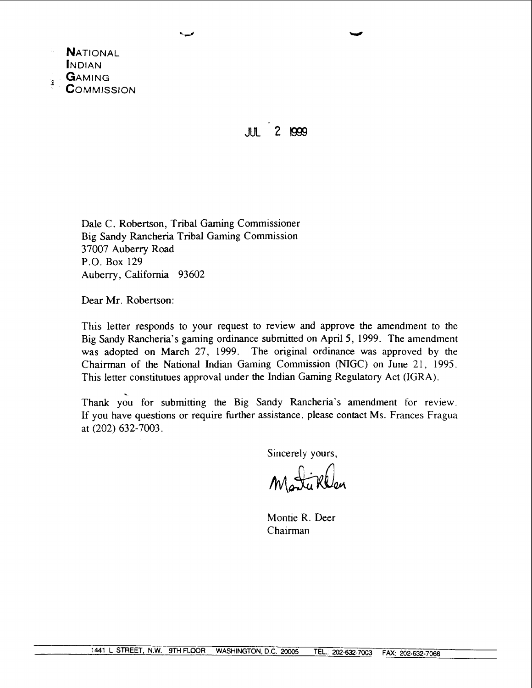

**JUL** 2 1999

Dale C. Robertson, Tribal Gaming Commissioner Big Sandy Rancheria Tribal Gaming Commission 37007 Auberry Road P.O. Box 129 Auberry, California 93602

Dear Mr. Robertson:

This letter responds to your request to review and approve the amendment to the Big Sandy Rancheria's gaming ordinance submitted on April 5, 1999. The amendment was adopted on March 27, 1999. The original ordinance was approved by the Chairman of the National Indian Gaming Commission (NIGC) on June 21, 1995. This letter constitutues approval under the Indian Gaming Regulatory Act (IGRA).

. Thank you for submitting the Big Sandy Rancheria's amendment for review. If you have questions or require further assistance, please contact Ms. Frances Fragua at (202) 632-7003.

Sincerely yours,

Matiklan

Montie R. Deer Chairman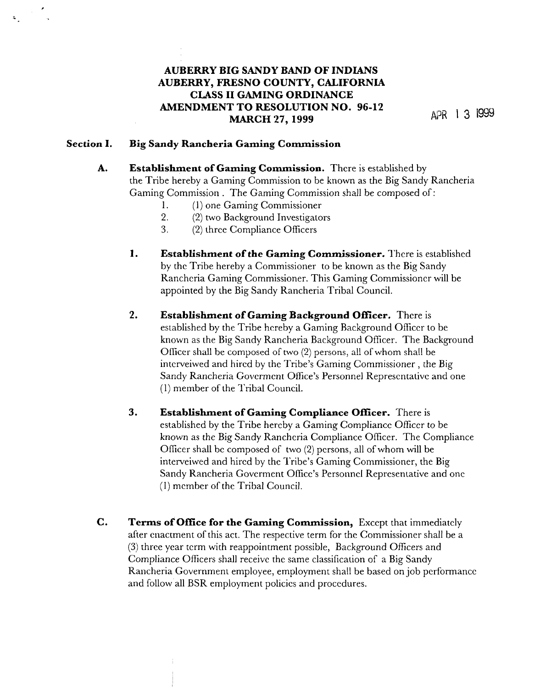# **AUBERRY BIG SANDY BAND OF INDIANS AUBERRY, FRESNO COUNTY, CALIFORNIA CLASS I1 GAMING ORDINANCE AMENDMENT TO RESOLUTION NO. 96-12 MARCH 27, 1999 APR** 1 3 1999

### **Section I. Big Sandy Rancheria Gaming Commission**

- **A. Establishment of Gaming Commission.** There is established by the Tribe hereby a Gaming Commission to be known as the Big Sandy Rancheria Gaming Commission . The Gaming Commission shall be composed of:
	- 1. (1) one Gaming Commissioner
	- 2. (2) two Background Investigators
	- 3. (2) three Compliance Officers
	- **1. Establishment of the Gaming Commissioner.** l'here is established by thc Tribe hereby a Commissioner to be known as the Big Sandy Kancheria Gaming Commissioner. This Gaming Commissioner will be appointed by the Big Sandy Kancheria Tribal Council.
	- **2. Establishment of Gaming Background Offlcer.** There is established by the Tribe hereby a Gaming Background Officer to be known as the Big Sandy Rancheria Background Officer. The Background Officer shall be composed of two (2) persons, all of whom shall be interveiwed and hircd by the Tribe's Gaming Commissioner, the Big Sandy Rancheria Govermcnt Office's Personnel Keprescntativc and one  $(1)$  member of the Tribal Council.
	- **3. Establishment of Gaming Compliance Officer.** There is established by the Tribe hereby a Gaming Compliance Officer to be known as the Big Sandy Rancheria Compliance Officer. The Compliance Oflicer shall bc composed of two (2) persons, all of whom will be interveiwed and hired by the Tribe's Gaming Commissioner, the Big Sandy Kancheria Goverment Ofice's Personnel Representative and onc (I) member of the Tribal Council.
- **C. Terms of Office for the Gaming Commission,** Exccpt that immediately after enactment of this act. The respective term for the Commissioner shall be a (3) three year tcrm with reappointment possible, Background Officers and Compliance Officers shall receive thc same classification of a Big Sandy Rancheria Government employee, employment shall be based on job performance and follow all BSR employment policies and procedures.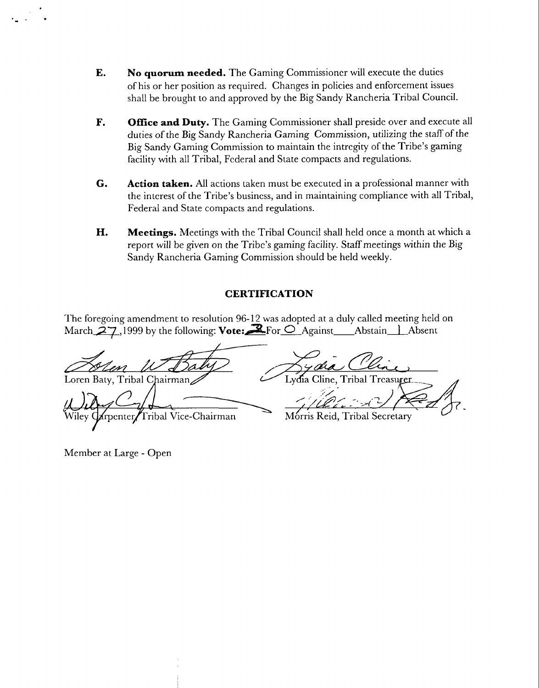- **E.** No **quorum needed.** The Gaming Commissioner will execute the duties of his or her position as required. Changes in policies and enforcement issues shall be brought to and approved by the Big Sandy Kancheria Tribal Council.
- **F. Office and Duty.** The Gaming Commissioner shall preside over and execute all duties of the Big Sandy Rancheria Gaming Commission, utilizing the staff of the Big Sandy Gaming Commission to maintain the intrcgity of the Tribe's gaming facility with all Tribal, Federal and State compacts and regulations.
- *G.* **Action taken.** All actions taken must be executed in a professional manner with the interest of the 'Tribe's business, and in maintaining compliance with all Tribal, Federal and State compacts and regulations.
- **H. Meetings.** Meetings with the Tribal Council shall held once a month at which a report will be given on the Tribe's gaming facility. Staff meetings within the Big Sandy Rancheria Gaming Commission should be held weekly.

## **CERTIFICATION**

'I'he foregoing amendment to resolution 96- 12 was adopted at a duly called meeting held on March  $27.1999$  by the following: Vote: $\mathbb{R}$  For  $\bigcirc$  Against Abstain I Absent

Loren Baty, Tribal Chairman Lvďia Cline. Tribal Treasurer ribal Vice-Chairman Mórris Reid, Tribal Secretary

Member at Large - Open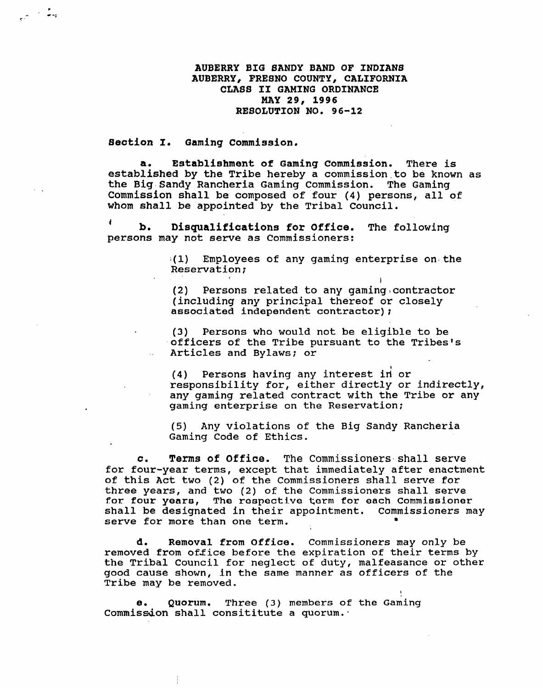**AUBERRY BIG BANDY BAND OF INDIANS AUBERRY, FRESNO COUNTY, CALIFORNIA CLASS I1 GAMING ORDINANCE MAY 29, 1996 RESOLUTION NO. 96-12** 

**Section I. ~aming commission.** 

م<br>چون الري

**a. Establishment of Gaming Commission.** There is established by the Tribe hereby a commission.to be known as the Big Sandy Rancheria Gaming Commission. The Gaming Commission shall be composed of four (4) persons, all of whom shall be appointed by the Tribal Council.

**<sup>4</sup>b. Disqualifications for Office.** The following persons may not serve as Commissioners:

> **;(I)** Employees of any gaming enterprise on.the Reservation;

> > **I**

**1** 

(2) Persons related to any gaming,contractor (including any principal thereof or closely associated independent contractor);

(3) Persons who would not be eligible to be .officers of the Tribe pursuant to the Tribes's Articles and Bylaws; or

**(4)** Persons having any interest ii or responsibility for, either directly or indirectly, any gaming related contract with the Tribe or any gaming enterprise on the Reservation;

(5) Any violations of the Big Sandy Rancheria Gaming Code of Ethics.

**c. Terms of Office.** The Commissioners shall serve for four-year terms, except that immediately after enactment of this Act two (2) of the Commissioners shall sewe for three years, and two (2) of the Commissioners shall serve for four years, The respective term for each Commissioner shall be designated in their appointment. Commissioners may serve for more than one term.

**d. Removal from Office.** Commissioners may only be removed from office before the expiration of their terms by the Tribal Council for neglect of duty, malfeasance or other good cause shown, in the same manner as officers of the Tribe may be removed.

e. Quorum. Three (3) members of the Gaming Commission shall consititute a quorum.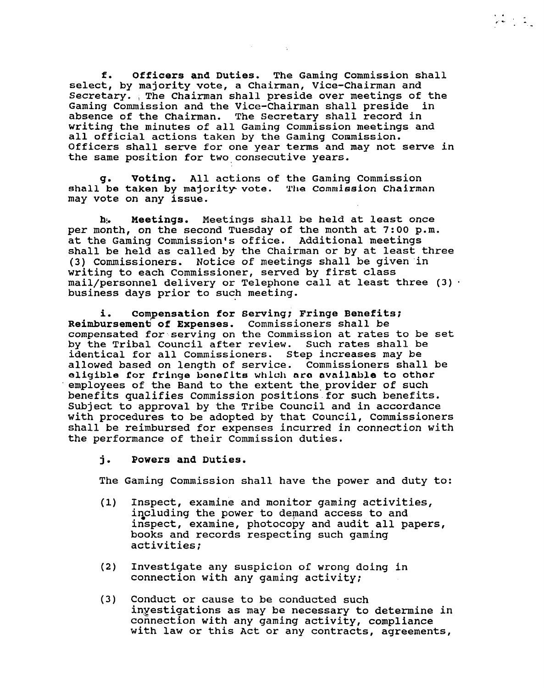**f. Officers and Duties.** The Gaming Commission shall select, by majority vote, a Chairman, Vice-Chairman and Secretary. , The Chairman shall preside over meetings of the Gaming Commission and the Vice-Chairman shall preside in absence of the Chairman. The Secretary shall record in writing the minutes of all Gaming Commission meetings and all official actions taken by the Gaming Commission. Officers shall serve for one year terms and may not serve in the same position for two consecutive years.

 $\mathcal{L} = \{1, 2, \ldots \}$ 

**g.** Voting. All actions of the Gaming Commission shall be taken by majority. **vote. 'I'l~e** Commission Chairman may vote on any issue.

**hi. Meetings.** Meetings shall be held at least once per month, on the second Tuesday of the month at **7:00** p.m. at the Gaming Commission's office. Additional meetings shall be held as called by the Chairman or by at least three (3) Commissioners. Notice of meetings shall be given'in writing to each Commissioner, served by first class mail/personnel delivery or Telephone call at least three (3)  $\cdot$  business days prior to such meeting.

i. Compensation for Serving; Fringe Benefits; Reimbursement of Expenses. Commissioners shall be compensated for:serving on the Commission at rates to be set by the Tribal Council after review. Such rates shall be identical for all Commissioners. Step increases may be allowed based on length of service. Commissioners shall be **eligible** for **fringe LanaClta whloll ara** available to othar employees of the Band to the extent the provider of such benefits qualifies Commission positions.for such benefits. Subject to approval by the Tribe Council and in accordance with procedures to be adopted by that Council, Commissioners shall be reimbursed for expenses incurred in connection with the performance of their Commission duties.

### **<sup>j</sup>**. **Powers and Duties.**

The Gaming Commission shall have the power and duty to:

- (1) Inspect, examine and monitor gaming activities, including the power to demand access to and inspect, examine, photocopy and audit all papers, books and records respecting such gaming activities;
- (2) Investigate any suspicion of wrong doing in connection with any gaming activity;
- (3) Conduct or cause to be conducted such hyestigations as may be necessary to determine in connection with any gaming activity, compliance with law or this Act or any contracts, agreements,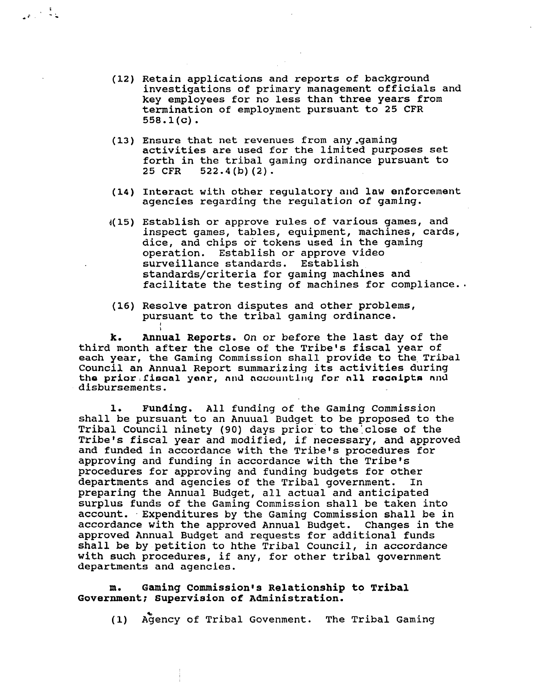- (12) Retain applications and reports of background investigations of primary management officials and key employees for no less than three years from termination of employment pursuant to 25 CFR 558.1 (c) .
- (13) Ensure that net revenues from any-gaming activities are used for the limited purposes set forth in the tribal gaming ordinance pursuant to 25 CFR 522.4 (b) (2) .
- (14) Interact with other regulatory and law enforcement agencies regarding the regulation of gaming.
- **d(15)** Establish or approve rules of various games, and inspect games, tables, equipment, machines, cards, dice, and chips or tokens used in the gaming operation. Establish or approve video surveillance standards. Establish standards/criteria for gaming machines and facilitate the testing of machines for compliance..
- (16) Resolve patron disputes and other problems, pursuant to the tribal gaming ordinance.

**I I** 

 $\frac{1}{2} \frac{1}{\mathcal{C}} \left( \frac{1}{\mathcal{C}} \right)^2 \frac{1}{\mathcal{C}} \frac{1}{\mathcal{C}}$ 

**k. Annual Reports.** On or before the last day of the third month after the close of the Tribe's fiscal year of each year, the Gaming Commission shall provide to the Tribal Council an Annual Report summarizing its activities during the prior fiscal year, and accounting for all recaipts and disbursements.

**1. Funding.** All funding of the Gaming Commission shall be pursuant to an Anuual Budget to be proposed to the Tribal Council ninety (90) days prior to the close of the Tribe's fiscal year and modified, if necessary, and approved and funded in accordance with the Tribe's procedures for approving and funding in accordance with the Tribe's procedures for approving and funding budgets for other departments and agencies of the Tribal government. In preparing the Annual Budget, all actual and anticipated surplus funds of the Gaming Commission shall be taken into account. Expenditures by the Gaming Commission shall be in accordance with the approved Annual Budget. Changes in the approved Annual Budget and requests for additional funds shall be by petition to hthe Tribal Council, in accordance with such procedures, if any, for other tribal government departments and agencies.

#### **m. Gaming Commission~s Relationship to Tribal Government; Supervision of Administration.**

(1) Agency of Tribal Govenment. The Tribal Gaming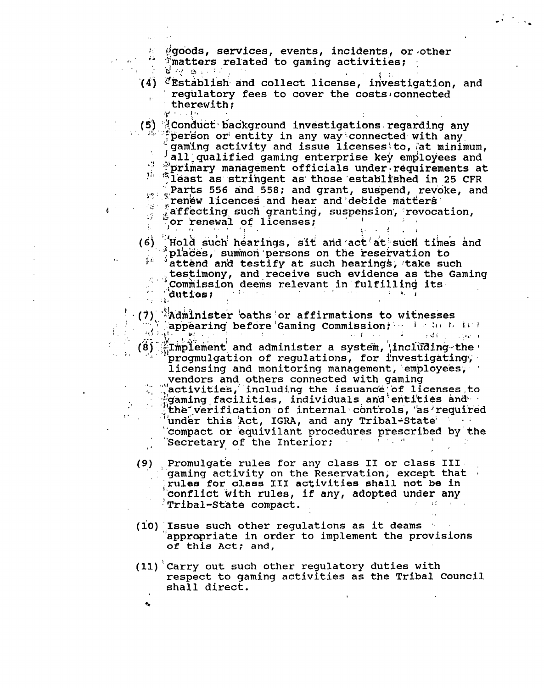i!'go'ods, ,services, events, incidents, . or lother . . , . , -. .: ff:matters related to gaming activities; :.  $\mathcal{F}=\mathcal{E}^{\text{max}}_{\mathcal{M}}\left(\mathcal{B}\right)$  ,  $\mathcal{F}_{\mathcal{M}}$ 

(4) <sup>2</sup>Establish and collect license, investigation, and requilatory fees to cover the costs connected **I**. therewith;

**1.** 

(5) <sup>2</sup>: Conduct background investigations regarding any , . ''<br>person or entity in any way connected with any gaming activity and issue licenses to, at minimum, all qualified gaming enterprise key employees and<br>"Primary management officials under requirements at th management of those established in 25 CFR **Parts 556 and 558; and grant, suspend, revoke, and in the Starts Starts of The Starts Starts Starts Starts Starts Starts Starts Starts Starts Starts Starts Starts Starts Starts Starts Starts Starts Starts Starts Starts St** .:. **\$-.** renbw 1.icences and hear and'deci.de mateers **<sup>c</sup>**. 1, . .;affecting, such .granting, suspension', -revocation, :' %r kenewal **oS** iicenses; - I . . .,, for renewal of licenses;  $\mathbf{.}$ 

(6)  $^{\prime}$  Hold such hearings, sit and act at such times and :  $\hat{r}$  places, summon persons on the reservation to attend and testify at such hearings, take such . . . .commission deems relevant infulfilling its- ; "duttest .;, . **I** ., . **a 1**  testimony, and receive such evidence as the Gaming duties;

<sup>I</sup>*ril* i ' . ' .\. +4dmhist&r ., 'oaths ! or affirmations to wif nesses . , .... . , **1** ,appearing before 'Gaming Commission;, .? i .. :: **4 1,** I. **i' I <sup>L</sup>**.' . . ! **a:** . . . **..I** .. .. : **.I** ! *8-* **<sup>I</sup>**!. .- - .\$. .. !. /:': detail (8) in the lement and administer a system, including the progmulgation of regulations, for investigating licensing and monitoring management, employees, vendors and others connected with gaming ,  $\sqrt[12]{$  activities, including the issuance of licenses to factivities, individuals and entities and ... the verification of internal controls, 'as'required "under this Act, IGRA, and any Tribal-State and any tribal-State and all and the state of the anti-

- `compact or equivilant procedures prescribed by the<br>`Secretary of the Interior: **Example 2** Secretary of the Interior;  $\mathbb{E}[\mathbf{r}_1, \ldots, \mathbf{r}_n]$  . It is
- (9) Promulgate rules for any class II or class III .<br>... ... .. .. .. .. .. .. .. ... gaming activity on the Reservation, except that ' **Irules** for **alass XI1** activities shall not be in conflict with rules, if any, adopted under any  $Tribal-State compact.$
- $(10)$  Issue such other regulations as it deams 'appropriate in order to implement the provisions **of this Act; and,**
- **(11)** 'carry out such other regulatory duties with respect to gaming activities as the Tribal Council shall direct.

**B**